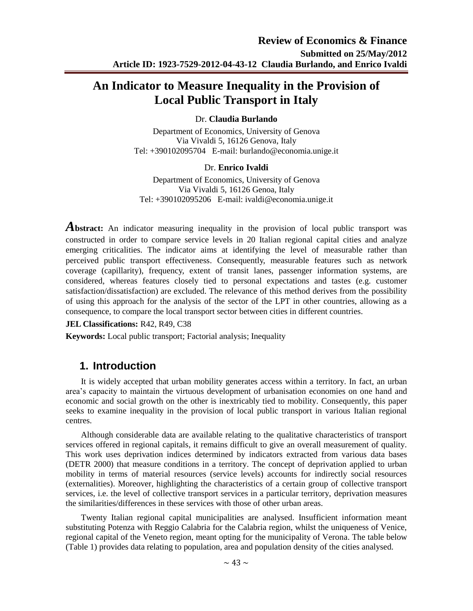# **An Indicator to Measure Inequality in the Provision of Local Public Transport in Italy**

### Dr. **Claudia Burlando**

Department of Economics, University of Genova Via Vivaldi 5, 16126 Genova, Italy Tel: +390102095704 E-mail: burlando@economia.unige.it

### Dr. **Enrico Ivaldi**

Department of Economics, University of Genova Via Vivaldi 5, 16126 Genoa, Italy Tel: +390102095206 E-mail: ivaldi@economia.unige.it

**Abstract:** An indicator measuring inequality in the provision of local public transport was constructed in order to compare service levels in 20 Italian regional capital cities and analyze emerging criticalities. The indicator aims at identifying the level of measurable rather than perceived public transport effectiveness. Consequently, measurable features such as network coverage (capillarity), frequency, extent of transit lanes, passenger information systems, are considered, whereas features closely tied to personal expectations and tastes (e.g. customer satisfaction/dissatisfaction) are excluded. The relevance of this method derives from the possibility of using this approach for the analysis of the sector of the LPT in other countries, allowing as a consequence, to compare the local transport sector between cities in different countries.

### **JEL Classifications:** R42, R49, C38

**Keywords:** Local public transport; Factorial analysis; Inequality

## **1. Introduction**

It is widely accepted that urban mobility generates access within a territory. In fact, an urban area's capacity to maintain the virtuous development of urbanisation economies on one hand and economic and social growth on the other is inextricably tied to mobility. Consequently, this paper seeks to examine inequality in the provision of local public transport in various Italian regional centres.

Although considerable data are available relating to the qualitative characteristics of transport services offered in regional capitals, it remains difficult to give an overall measurement of quality. This work uses deprivation indices determined by indicators extracted from various data bases (DETR 2000) that measure conditions in a territory. The concept of deprivation applied to urban mobility in terms of material resources (service levels) accounts for indirectly social resources (externalities). Moreover, highlighting the characteristics of a certain group of collective transport services, i.e. the level of collective transport services in a particular territory, deprivation measures the similarities/differences in these services with those of other urban areas.

Twenty Italian regional capital municipalities are analysed. Insufficient information meant substituting Potenza with Reggio Calabria for the Calabria region, whilst the uniqueness of Venice, regional capital of the Veneto region, meant opting for the municipality of Verona. The table below (Table 1) provides data relating to population, area and population density of the cities analysed.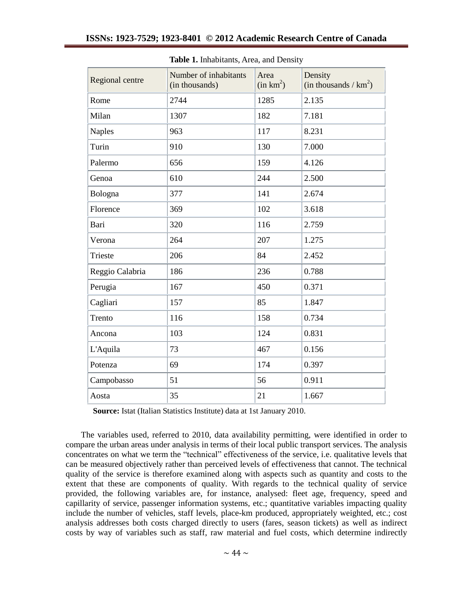| Regional centre | Number of inhabitants<br>(in thousands) | Area<br>(in km <sup>2</sup> ) | Density<br>(in thousands / $km^2$ ) |  |
|-----------------|-----------------------------------------|-------------------------------|-------------------------------------|--|
| Rome            | 2744                                    | 1285                          | 2.135                               |  |
| Milan           | 1307                                    | 182                           | 7.181                               |  |
| <b>Naples</b>   | 963                                     | 117                           | 8.231                               |  |
| Turin           | 910                                     | 130                           | 7.000                               |  |
| Palermo         | 656                                     | 159                           | 4.126                               |  |
| Genoa           | 610                                     | 244                           | 2.500                               |  |
| Bologna         | 377                                     | 141                           | 2.674                               |  |
| Florence        | 369                                     | 102                           | 3.618                               |  |
| Bari            | 320                                     | 116                           | 2.759                               |  |
| Verona          | 264                                     | 207                           | 1.275                               |  |
| Trieste         | 206                                     | 84                            | 2.452                               |  |
| Reggio Calabria | 186                                     | 236                           | 0.788                               |  |
| Perugia         | 167                                     | 450                           | 0.371                               |  |
| Cagliari        | 157                                     | 85                            | 1.847                               |  |
| Trento          | 116                                     | 158                           | 0.734                               |  |
| Ancona          | 103                                     | 124                           | 0.831                               |  |
| L'Aquila        | 73                                      | 467                           | 0.156                               |  |
| Potenza         | 69                                      | 174                           | 0.397                               |  |
| Campobasso      | 51                                      | 56                            | 0.911                               |  |
| Aosta           | 35                                      | 21                            | 1.667                               |  |

**Table 1.** Inhabitants, Area, and Density

**Source:** Istat (Italian Statistics Institute) data at 1st January 2010.

The variables used, referred to 2010, data availability permitting, were identified in order to compare the urban areas under analysis in terms of their local public transport services. The analysis concentrates on what we term the "technical" effectiveness of the service, i.e. qualitative levels that can be measured objectively rather than perceived levels of effectiveness that cannot. The technical quality of the service is therefore examined along with aspects such as quantity and costs to the extent that these are components of quality. With regards to the technical quality of service provided, the following variables are, for instance, analysed: fleet age, frequency, speed and capillarity of service, passenger information systems, etc.; quantitative variables impacting quality include the number of vehicles, staff levels, place-km produced, appropriately weighted, etc.; cost analysis addresses both costs charged directly to users (fares, season tickets) as well as indirect costs by way of variables such as staff, raw material and fuel costs, which determine indirectly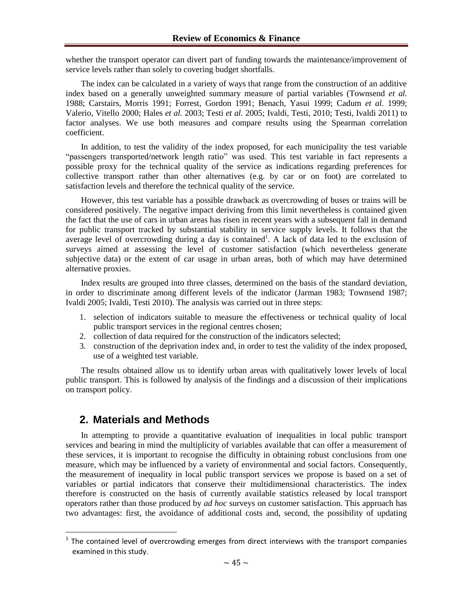whether the transport operator can divert part of funding towards the maintenance/improvement of service levels rather than solely to covering budget shortfalls.

The index can be calculated in a variety of ways that range from the construction of an additive index based on a generally unweighted summary measure of partial variables (Townsend *et al.*  1988; Carstairs, Morris 1991; Forrest, Gordon 1991; Benach, Yasui 1999; Cadum *et al.* 1999; Valerio, Vitello 2000; Hales *et al.* 2003; Testi *et al.* 2005; Ivaldi, Testi, 2010; Testi, Ivaldi 2011) to factor analyses. We use both measures and compare results using the Spearman correlation coefficient.

In addition, to test the validity of the index proposed, for each municipality the test variable "passengers transported/network length ratio" was used. This test variable in fact represents a possible proxy for the technical quality of the service as indications regarding preferences for collective transport rather than other alternatives (e.g. by car or on foot) are correlated to satisfaction levels and therefore the technical quality of the service.

However, this test variable has a possible drawback as overcrowding of buses or trains will be considered positively. The negative impact deriving from this limit nevertheless is contained given the fact that the use of cars in urban areas has risen in recent years with a subsequent fall in demand for public transport tracked by substantial stability in service supply levels. It follows that the average level of overcrowding during a day is contained<sup>1</sup>. A lack of data led to the exclusion of surveys aimed at assessing the level of customer satisfaction (which nevertheless generate subjective data) or the extent of car usage in urban areas, both of which may have determined alternative proxies.

Index results are grouped into three classes, determined on the basis of the standard deviation, in order to discriminate among different levels of the indicator (Jarman 1983; Townsend 1987; Ivaldi 2005; Ivaldi, Testi 2010). The analysis was carried out in three steps:

- 1. selection of indicators suitable to measure the effectiveness or technical quality of local public transport services in the regional centres chosen;
- 2. collection of data required for the construction of the indicators selected;
- 3. construction of the deprivation index and, in order to test the validity of the index proposed, use of a weighted test variable.

The results obtained allow us to identify urban areas with qualitatively lower levels of local public transport. This is followed by analysis of the findings and a discussion of their implications on transport policy.

## **2. Materials and Methods**

<u>.</u>

In attempting to provide a quantitative evaluation of inequalities in local public transport services and bearing in mind the multiplicity of variables available that can offer a measurement of these services, it is important to recognise the difficulty in obtaining robust conclusions from one measure, which may be influenced by a variety of environmental and social factors. Consequently, the measurement of inequality in local public transport services we propose is based on a set of variables or partial indicators that conserve their multidimensional characteristics. The index therefore is constructed on the basis of currently available statistics released by local transport operators rather than those produced by *ad hoc* surveys on customer satisfaction. This approach has two advantages: first, the avoidance of additional costs and, second, the possibility of updating

 $1$  The contained level of overcrowding emerges from direct interviews with the transport companies examined in this study.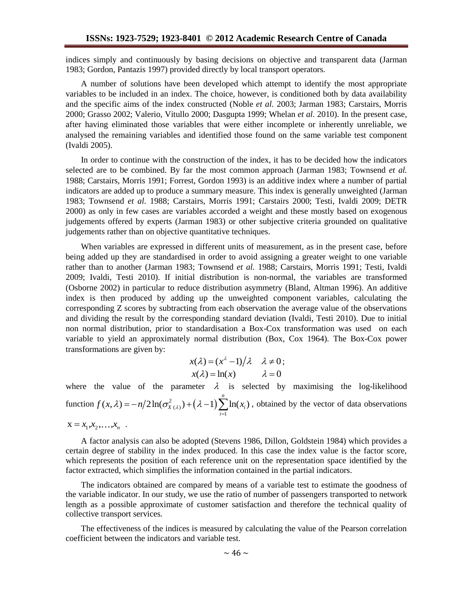indices simply and continuously by basing decisions on objective and transparent data (Jarman 1983; Gordon, Pantazis 1997) provided directly by local transport operators.

A number of solutions have been developed which attempt to identify the most appropriate variables to be included in an index. The choice, however, is conditioned both by data availability and the specific aims of the index constructed (Noble *et al.* 2003; Jarman 1983; Carstairs, Morris 2000; Grasso 2002; Valerio, Vitullo 2000; Dasgupta 1999; Whelan *et al.* 2010). In the present case, after having eliminated those variables that were either incomplete or inherently unreliable, we analysed the remaining variables and identified those found on the same variable test component (Ivaldi 2005).

In order to continue with the construction of the index, it has to be decided how the indicators selected are to be combined. By far the most common approach (Jarman 1983; Townsend *et al.* 1988; Carstairs, Morris 1991; Forrest, Gordon 1993) is an additive index where a number of partial indicators are added up to produce a summary measure. This index is generally unweighted (Jarman 1983; Townsend *et al.* 1988; Carstairs, Morris 1991; Carstairs 2000; Testi, Ivaldi 2009; DETR 2000) as only in few cases are variables accorded a weight and these mostly based on exogenous judgements offered by experts (Jarman 1983) or other subjective criteria grounded on qualitative judgements rather than on objective quantitative techniques.

When variables are expressed in different units of measurement, as in the present case, before being added up they are standardised in order to avoid assigning a greater weight to one variable rather than to another (Jarman 1983; Townsend *et al.* 1988; Carstairs, Morris 1991; Testi, Ivaldi 2009; Ivaldi, Testi 2010). If initial distribution is non-normal, the variables are transformed (Osborne 2002) in particular to reduce distribution asymmetry (Bland, Altman 1996). An additive index is then produced by adding up the unweighted component variables, calculating the corresponding Z scores by subtracting from each observation the average value of the observations and dividing the result by the corresponding standard deviation (Ivaldi, Testi 2010). Due to initial non normal distribution, prior to standardisation a Box-Cox transformation was used on each variable to yield an approximately normal distribution (Box, Cox 1964). The Box-Cox power transformations are given by:

$$
x(\lambda) = (x^{\lambda} - 1)/\lambda \quad \lambda \neq 0;
$$
  
 
$$
x(\lambda) = \ln(x) \qquad \lambda = 0
$$

where the value of the parameter  $\lambda$  is selected by maximising the log-likelihood where the value of the parameter  $\lambda$  is set<br>
function  $f(x, \lambda) = -n/2 \ln(\sigma_{X(\lambda)}^2) + (\lambda - 1) \sum_{i=1}^n \ln(x_i)$ he value of the parameter  $\lambda$  is selected by maximising the log-likelihood<br>  $f(x, \lambda) = -n/2\ln(\sigma_{X(\lambda)}^2) + (\lambda - 1)\sum_{i=1}^n \ln(x_i)$ , obtained by the vector of data observations  $X = x_1, x_2, \ldots, x_n$ .

A factor analysis can also be adopted (Stevens 1986, Dillon, Goldstein 1984) which provides a certain degree of stability in the index produced. In this case the index value is the factor score, which represents the position of each reference unit on the representation space identified by the factor extracted, which simplifies the information contained in the partial indicators.

The indicators obtained are compared by means of a variable test to estimate the goodness of the variable indicator. In our study, we use the ratio of number of passengers transported to network length as a possible approximate of customer satisfaction and therefore the technical quality of collective transport services.

The effectiveness of the indices is measured by calculating the value of the Pearson correlation coefficient between the indicators and variable test.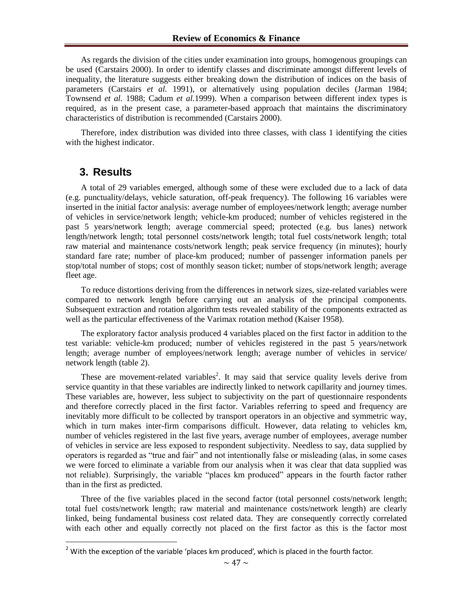As regards the division of the cities under examination into groups, homogenous groupings can be used (Carstairs 2000). In order to identify classes and discriminate amongst different levels of inequality, the literature suggests either breaking down the distribution of indices on the basis of parameters (Carstairs *et al.* 1991), or alternatively using population deciles (Jarman 1984; Townsend *et al.* 1988; Cadum *et al.*1999). When a comparison between different index types is required, as in the present case, a parameter-based approach that maintains the discriminatory characteristics of distribution is recommended (Carstairs 2000).

Therefore, index distribution was divided into three classes, with class 1 identifying the cities with the highest indicator.

## **3. Results**

<u>.</u>

A total of 29 variables emerged, although some of these were excluded due to a lack of data (e.g. punctuality/delays, vehicle saturation, off-peak frequency). The following 16 variables were inserted in the initial factor analysis: average number of employees/network length; average number of vehicles in service/network length; vehicle-km produced; number of vehicles registered in the past 5 years/network length; average commercial speed; protected (e.g. bus lanes) network length/network length; total personnel costs/network length; total fuel costs/network length; total raw material and maintenance costs/network length; peak service frequency (in minutes); hourly standard fare rate; number of place-km produced; number of passenger information panels per stop/total number of stops; cost of monthly season ticket; number of stops/network length; average fleet age.

To reduce distortions deriving from the differences in network sizes, size-related variables were compared to network length before carrying out an analysis of the principal components. Subsequent extraction and rotation algorithm tests revealed stability of the components extracted as well as the particular effectiveness of the Varimax rotation method (Kaiser 1958).

The exploratory factor analysis produced 4 variables placed on the first factor in addition to the test variable: vehicle-km produced; number of vehicles registered in the past 5 years/network length; average number of employees/network length; average number of vehicles in service/ network length (table 2).

These are movement-related variables<sup>2</sup>. It may said that service quality levels derive from service quantity in that these variables are indirectly linked to network capillarity and journey times. These variables are, however, less subject to subjectivity on the part of questionnaire respondents and therefore correctly placed in the first factor. Variables referring to speed and frequency are inevitably more difficult to be collected by transport operators in an objective and symmetric way, which in turn makes inter-firm comparisons difficult. However, data relating to vehicles km, number of vehicles registered in the last five years, average number of employees, average number of vehicles in service are less exposed to respondent subjectivity. Needless to say, data supplied by operators is regarded as "true and fair" and not intentionally false or misleading (alas, in some cases we were forced to eliminate a variable from our analysis when it was clear that data supplied was not reliable). Surprisingly, the variable "places km produced" appears in the fourth factor rather than in the first as predicted.

Three of the five variables placed in the second factor (total personnel costs/network length; total fuel costs/network length; raw material and maintenance costs/network length) are clearly linked, being fundamental business cost related data. They are consequently correctly correlated with each other and equally correctly not placed on the first factor as this is the factor most

 $2$  With the exception of the variable 'places km produced', which is placed in the fourth factor.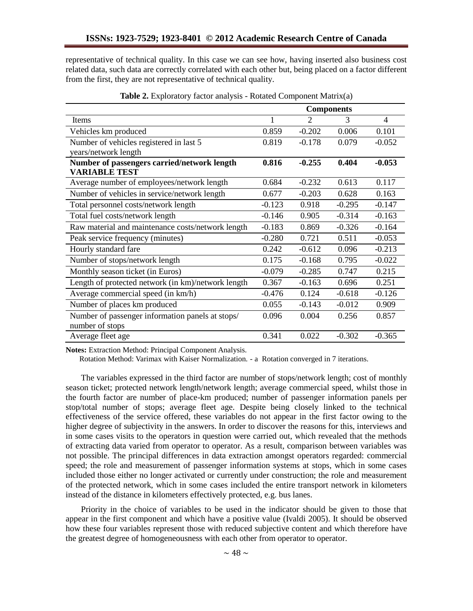representative of technical quality. In this case we can see how, having inserted also business cost related data, such data are correctly correlated with each other but, being placed on a factor different from the first, they are not representative of technical quality.

|                                                    | <b>Components</b> |          |          |          |
|----------------------------------------------------|-------------------|----------|----------|----------|
| Items                                              |                   | 2        | 3        | 4        |
| Vehicles km produced                               | 0.859             | $-0.202$ | 0.006    | 0.101    |
| Number of vehicles registered in last 5            | 0.819             | $-0.178$ | 0.079    | $-0.052$ |
| years/network length                               |                   |          |          |          |
| Number of passengers carried/network length        | 0.816             | $-0.255$ | 0.404    | $-0.053$ |
| <b>VARIABLE TEST</b>                               |                   |          |          |          |
| Average number of employees/network length         | 0.684             | $-0.232$ | 0.613    | 0.117    |
| Number of vehicles in service/network length       | 0.677             | $-0.203$ | 0.628    | 0.163    |
| Total personnel costs/network length               | $-0.123$          | 0.918    | $-0.295$ | $-0.147$ |
| Total fuel costs/network length                    | $-0.146$          | 0.905    | $-0.314$ | $-0.163$ |
| Raw material and maintenance costs/network length  | $-0.183$          | 0.869    | $-0.326$ | $-0.164$ |
| Peak service frequency (minutes)                   | $-0.280$          | 0.721    | 0.511    | $-0.053$ |
| Hourly standard fare                               | 0.242             | $-0.612$ | 0.096    | $-0.213$ |
| Number of stops/network length                     | 0.175             | $-0.168$ | 0.795    | $-0.022$ |
| Monthly season ticket (in Euros)                   | $-0.079$          | $-0.285$ | 0.747    | 0.215    |
| Length of protected network (in km)/network length | 0.367             | $-0.163$ | 0.696    | 0.251    |
| Average commercial speed (in km/h)                 | $-0.476$          | 0.124    | $-0.618$ | $-0.126$ |
| Number of places km produced                       | 0.055             | $-0.143$ | $-0.012$ | 0.909    |
| Number of passenger information panels at stops/   | 0.096             | 0.004    | 0.256    | 0.857    |
| number of stops                                    |                   |          |          |          |
| Average fleet age                                  | 0.341             | 0.022    | $-0.302$ | $-0.365$ |

**Table 2.** Exploratory factor analysis - Rotated Component Matrix(a)

**Notes:** Extraction Method: Principal Component Analysis.

Rotation Method: Varimax with Kaiser Normalization. - a Rotation converged in 7 iterations.

The variables expressed in the third factor are number of stops/network length; cost of monthly season ticket; protected network length/network length; average commercial speed, whilst those in the fourth factor are number of place-km produced; number of passenger information panels per stop/total number of stops; average fleet age. Despite being closely linked to the technical effectiveness of the service offered, these variables do not appear in the first factor owing to the higher degree of subjectivity in the answers. In order to discover the reasons for this, interviews and in some cases visits to the operators in question were carried out, which revealed that the methods of extracting data varied from operator to operator. As a result, comparison between variables was not possible. The principal differences in data extraction amongst operators regarded: commercial speed; the role and measurement of passenger information systems at stops, which in some cases included those either no longer activated or currently under construction; the role and measurement of the protected network, which in some cases included the entire transport network in kilometers instead of the distance in kilometers effectively protected, e.g. bus lanes.

Priority in the choice of variables to be used in the indicator should be given to those that appear in the first component and which have a positive value (Ivaldi 2005). It should be observed how these four variables represent those with reduced subjective content and which therefore have the greatest degree of homogeneousness with each other from operator to operator.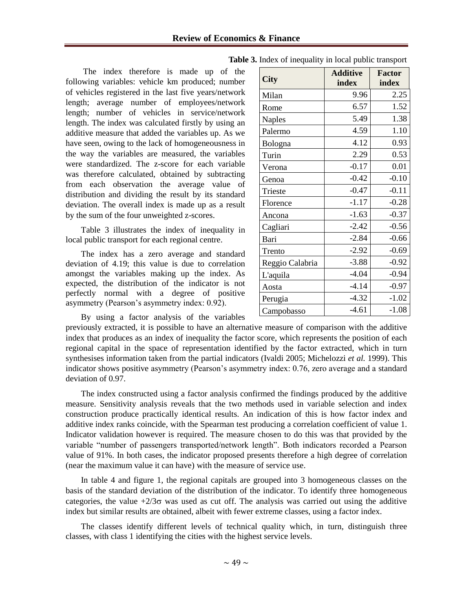The index therefore is made up of the following variables: vehicle km produced; number of vehicles registered in the last five years/network length; average number of employees/network length; number of vehicles in service/network length. The index was calculated firstly by using an additive measure that added the variables up. As we have seen, owing to the lack of homogeneousness in the way the variables are measured, the variables were standardized. The z-score for each variable was therefore calculated, obtained by subtracting from each observation the average value of distribution and dividing the result by its standard deviation. The overall index is made up as a result by the sum of the four unweighted z-scores.

Table 3 illustrates the index of inequality in local public transport for each regional centre.

The index has a zero average and standard deviation of 4.19; this value is due to correlation amongst the variables making up the index. As expected, the distribution of the indicator is not perfectly normal with a degree of positive asymmetry (Pearson's asymmetry index: 0.92).

By using a factor analysis of the variables

|                 | <b>Additive</b> | <b>Factor</b> |  |
|-----------------|-----------------|---------------|--|
| City            | index           | index         |  |
| Milan           | 9.96            | 2.25          |  |
| Rome            | 6.57            | 1.52          |  |
| <b>Naples</b>   | 5.49            | 1.38          |  |
| Palermo         | 4.59            | 1.10          |  |
| Bologna         | 4.12            | 0.93          |  |
| Turin           | 2.29            | 0.53          |  |
| Verona          | $-0.17$         | 0.01          |  |
| Genoa           | $-0.42$         | $-0.10$       |  |
| Trieste         | $-0.47$         | $-0.11$       |  |
| Florence        | $-1.17$         | $-0.28$       |  |
| Ancona          | $-1.63$         | $-0.37$       |  |
| Cagliari        | $-2.42$         | $-0.56$       |  |
| Bari            | $-2.84$         | $-0.66$       |  |
| Trento          | $-2.92$         | $-0.69$       |  |
| Reggio Calabria | $-3.88$         | $-0.92$       |  |
| L'aquila        | $-4.04$         | $-0.94$       |  |
| Aosta           | $-4.14$         | $-0.97$       |  |
| Perugia         | $-4.32$         | $-1.02$       |  |
| Campobasso      | $-4.61$         | $-1.08$       |  |

**Table 3.** Index of inequality in local public transport

previously extracted, it is possible to have an alternative measure of comparison with the additive index that produces as an index of inequality the factor score, which represents the position of each regional capital in the space of representation identified by the factor extracted, which in turn synthesises information taken from the partial indicators (Ivaldi 2005; Michelozzi *et al.* 1999). This indicator shows positive asymmetry (Pearson's asymmetry index: 0.76, zero average and a standard deviation of 0.97.

The index constructed using a factor analysis confirmed the findings produced by the additive measure. Sensitivity analysis reveals that the two methods used in variable selection and index construction produce practically identical results. An indication of this is how factor index and additive index ranks coincide, with the Spearman test producing a correlation coefficient of value 1. Indicator validation however is required. The measure chosen to do this was that provided by the variable "number of passengers transported/network length". Both indicators recorded a Pearson value of 91%. In both cases, the indicator proposed presents therefore a high degree of correlation (near the maximum value it can have) with the measure of service use.

In table 4 and figure 1, the regional capitals are grouped into 3 homogeneous classes on the basis of the standard deviation of the distribution of the indicator. To identify three homogeneous categories, the value  $+2/3\sigma$  was used as cut off. The analysis was carried out using the additive index but similar results are obtained, albeit with fewer extreme classes, using a factor index.

The classes identify different levels of technical quality which, in turn, distinguish three classes, with class 1 identifying the cities with the highest service levels.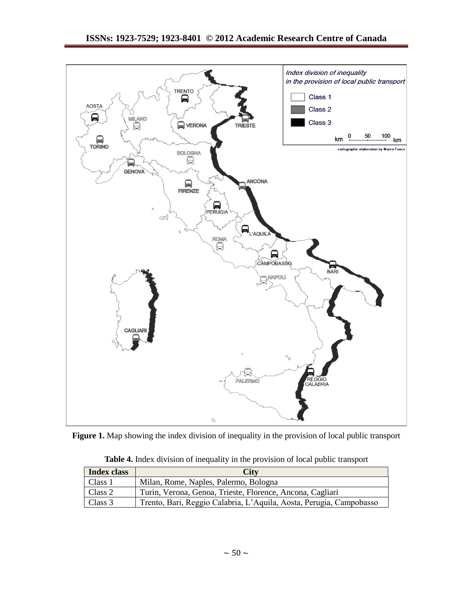

Figure 1. Map showing the index division of inequality in the provision of local public transport

| Table 4. Index division of inequality in the provision of local public transport |  |
|----------------------------------------------------------------------------------|--|
|----------------------------------------------------------------------------------|--|

| <b>Index class</b> | <b>City</b>                                                         |
|--------------------|---------------------------------------------------------------------|
| Class 1            | Milan, Rome, Naples, Palermo, Bologna                               |
| Class 2            | Turin, Verona, Genoa, Trieste, Florence, Ancona, Cagliari           |
| Class 3            | Trento, Bari, Reggio Calabria, L'Aquila, Aosta, Perugia, Campobasso |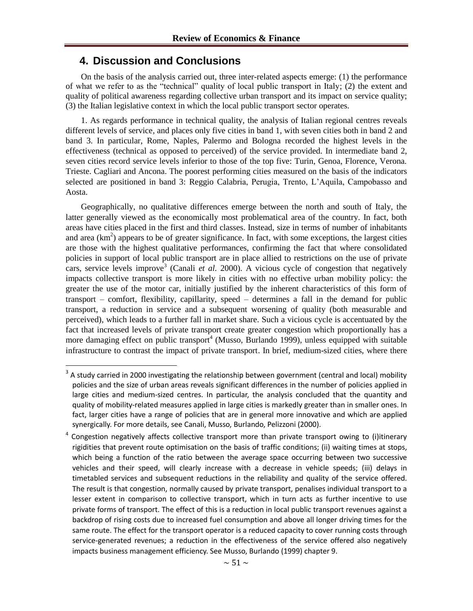## **4. Discussion and Conclusions**

-

On the basis of the analysis carried out, three inter-related aspects emerge: (1) the performance of what we refer to as the "technical" quality of local public transport in Italy; (2) the extent and quality of political awareness regarding collective urban transport and its impact on service quality; (3) the Italian legislative context in which the local public transport sector operates.

1. As regards performance in technical quality, the analysis of Italian regional centres reveals different levels of service, and places only five cities in band 1, with seven cities both in band 2 and band 3. In particular, Rome, Naples, Palermo and Bologna recorded the highest levels in the effectiveness (technical as opposed to perceived) of the service provided. In intermediate band 2, seven cities record service levels inferior to those of the top five: Turin, Genoa, Florence, Verona. Trieste. Cagliari and Ancona. The poorest performing cities measured on the basis of the indicators selected are positioned in band 3: Reggio Calabria, Perugia, Trento, L'Aquila, Campobasso and Aosta.

Geographically, no qualitative differences emerge between the north and south of Italy, the latter generally viewed as the economically most problematical area of the country. In fact, both areas have cities placed in the first and third classes. Instead, size in terms of number of inhabitants and area  $(km<sup>2</sup>)$  appears to be of greater significance. In fact, with some exceptions, the largest cities are those with the highest qualitative performances, confirming the fact that where consolidated policies in support of local public transport are in place allied to restrictions on the use of private cars, service levels improve<sup>3</sup> (Canali *et al.* 2000). A vicious cycle of congestion that negatively impacts collective transport is more likely in cities with no effective urban mobility policy: the greater the use of the motor car, initially justified by the inherent characteristics of this form of transport – comfort, flexibility, capillarity, speed – determines a fall in the demand for public transport, a reduction in service and a subsequent worsening of quality (both measurable and perceived), which leads to a further fall in market share. Such a vicious cycle is accentuated by the fact that increased levels of private transport create greater congestion which proportionally has a more damaging effect on public transport<sup>4</sup> (Musso, Burlando 1999), unless equipped with suitable infrastructure to contrast the impact of private transport. In brief, medium-sized cities, where there

 $3$  A study carried in 2000 investigating the relationship between government (central and local) mobility policies and the size of urban areas reveals significant differences in the number of policies applied in large cities and medium-sized centres. In particular, the analysis concluded that the quantity and quality of mobility-related measures applied in large cities is markedly greater than in smaller ones. In fact, larger cities have a range of policies that are in general more innovative and which are applied synergically. For more details, see Canali, Musso, Burlando, Pelizzoni (2000).

<sup>4</sup> Congestion negatively affects collective transport more than private transport owing to (i)itinerary rigidities that prevent route optimisation on the basis of traffic conditions; (ii) waiting times at stops, which being a function of the ratio between the average space occurring between two successive vehicles and their speed, will clearly increase with a decrease in vehicle speeds; (iii) delays in timetabled services and subsequent reductions in the reliability and quality of the service offered. The result is that congestion, normally caused by private transport, penalises individual transport to a lesser extent in comparison to collective transport, which in turn acts as further incentive to use private forms of transport. The effect of this is a reduction in local public transport revenues against a backdrop of rising costs due to increased fuel consumption and above all longer driving times for the same route. The effect for the transport operator is a reduced capacity to cover running costs through service-generated revenues; a reduction in the effectiveness of the service offered also negatively impacts business management efficiency. See Musso, Burlando (1999) chapter 9.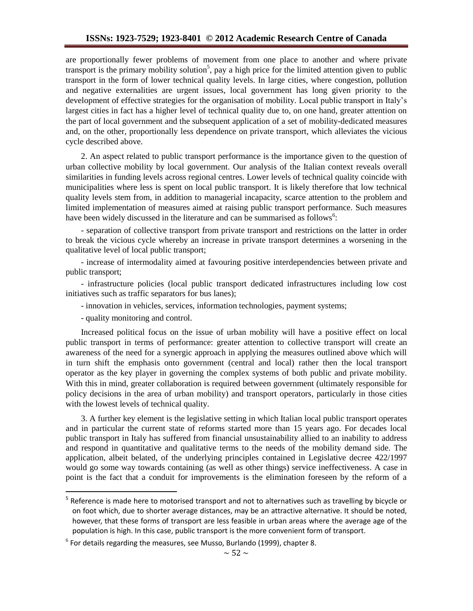are proportionally fewer problems of movement from one place to another and where private transport is the primary mobility solution<sup>5</sup>, pay a high price for the limited attention given to public transport in the form of lower technical quality levels. In large cities, where congestion, pollution and negative externalities are urgent issues, local government has long given priority to the development of effective strategies for the organisation of mobility. Local public transport in Italy's largest cities in fact has a higher level of technical quality due to, on one hand, greater attention on the part of local government and the subsequent application of a set of mobility-dedicated measures and, on the other, proportionally less dependence on private transport, which alleviates the vicious cycle described above.

2. An aspect related to public transport performance is the importance given to the question of urban collective mobility by local government. Our analysis of the Italian context reveals overall similarities in funding levels across regional centres. Lower levels of technical quality coincide with municipalities where less is spent on local public transport. It is likely therefore that low technical quality levels stem from, in addition to managerial incapacity, scarce attention to the problem and limited implementation of measures aimed at raising public transport performance. Such measures have been widely discussed in the literature and can be summarised as follows<sup>6</sup>:

- separation of collective transport from private transport and restrictions on the latter in order to break the vicious cycle whereby an increase in private transport determines a worsening in the qualitative level of local public transport;

- increase of intermodality aimed at favouring positive interdependencies between private and public transport;

- infrastructure policies (local public transport dedicated infrastructures including low cost initiatives such as traffic separators for bus lanes);

- innovation in vehicles, services, information technologies, payment systems;

- quality monitoring and control.

<u>.</u>

Increased political focus on the issue of urban mobility will have a positive effect on local public transport in terms of performance: greater attention to collective transport will create an awareness of the need for a synergic approach in applying the measures outlined above which will in turn shift the emphasis onto government (central and local) rather then the local transport operator as the key player in governing the complex systems of both public and private mobility. With this in mind, greater collaboration is required between government (ultimately responsible for policy decisions in the area of urban mobility) and transport operators, particularly in those cities with the lowest levels of technical quality.

3. A further key element is the legislative setting in which Italian local public transport operates and in particular the current state of reforms started more than 15 years ago. For decades local public transport in Italy has suffered from financial unsustainability allied to an inability to address and respond in quantitative and qualitative terms to the needs of the mobility demand side. The application, albeit belated, of the underlying principles contained in Legislative decree 422/1997 would go some way towards containing (as well as other things) service ineffectiveness. A case in point is the fact that a conduit for improvements is the elimination foreseen by the reform of a

<sup>&</sup>lt;sup>5</sup> Reference is made here to motorised transport and not to alternatives such as travelling by bicycle or on foot which, due to shorter average distances, may be an attractive alternative. It should be noted, however, that these forms of transport are less feasible in urban areas where the average age of the population is high. In this case, public transport is the more convenient form of transport.

 $^6$  For details regarding the measures, see Musso, Burlando (1999), chapter 8.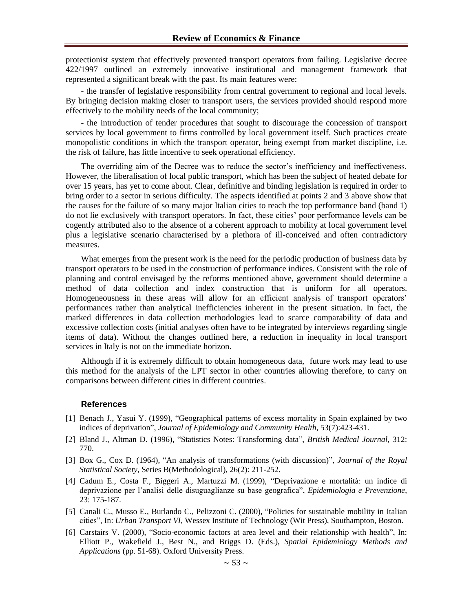protectionist system that effectively prevented transport operators from failing. Legislative decree 422/1997 outlined an extremely innovative institutional and management framework that represented a significant break with the past. Its main features were:

- the transfer of legislative responsibility from central government to regional and local levels. By bringing decision making closer to transport users, the services provided should respond more effectively to the mobility needs of the local community;

- the introduction of tender procedures that sought to discourage the concession of transport services by local government to firms controlled by local government itself. Such practices create monopolistic conditions in which the transport operator, being exempt from market discipline, i.e. the risk of failure, has little incentive to seek operational efficiency.

The overriding aim of the Decree was to reduce the sector's inefficiency and ineffectiveness. However, the liberalisation of local public transport, which has been the subject of heated debate for over 15 years, has yet to come about. Clear, definitive and binding legislation is required in order to bring order to a sector in serious difficulty. The aspects identified at points 2 and 3 above show that the causes for the failure of so many major Italian cities to reach the top performance band (band 1) do not lie exclusively with transport operators. In fact, these cities' poor performance levels can be cogently attributed also to the absence of a coherent approach to mobility at local government level plus a legislative scenario characterised by a plethora of ill-conceived and often contradictory measures.

What emerges from the present work is the need for the periodic production of business data by transport operators to be used in the construction of performance indices. Consistent with the role of planning and control envisaged by the reforms mentioned above, government should determine a method of data collection and index construction that is uniform for all operators. Homogeneousness in these areas will allow for an efficient analysis of transport operators' performances rather than analytical inefficiencies inherent in the present situation. In fact, the marked differences in data collection methodologies lead to scarce comparability of data and excessive collection costs (initial analyses often have to be integrated by interviews regarding single items of data). Without the changes outlined here, a reduction in inequality in local transport services in Italy is not on the immediate horizon.

Although if it is extremely difficult to obtain homogeneous data, future work may lead to use this method for the analysis of the LPT sector in other countries allowing therefore, to carry on comparisons between different cities in different countries.

#### **References**

- [1] Benach J., Yasui Y. (1999), "Geographical patterns of excess mortality in Spain explained by two indices of deprivation", *Journal of Epidemiology and Community Health*, 53(7):423-431.
- [2] Bland J., Altman D. (1996), "Statistics Notes: Transforming data", *British Medical Journal*, 312: 770.
- [3] Box G., Cox D. (1964), "An analysis of transformations (with discussion)", *Journal of the Royal Statistical Society*, Series B(Methodological), 26(2): 211-252.
- [4] Cadum E., Costa F., Biggeri A., Martuzzi M. (1999), "Deprivazione e mortalità: un indice di deprivazione per l'analisi delle disuguaglianze su base geografica", *Epidemiologia e Prevenzione*, 23: 175-187.
- [5] Canali C., Musso E., Burlando C., Pelizzoni C. (2000), "Policies for sustainable mobility in Italian cities", In: *Urban Transport VI*, Wessex Institute of Technology (Wit Press), Southampton, Boston.
- [6] Carstairs V. (2000), "Socio-economic factors at area level and their relationship with health", In: Elliott P., Wakefield J., Best N., and Briggs D. (Eds.), *Spatial Epidemiology Methods and Applications* (pp. 51-68). Oxford University Press.